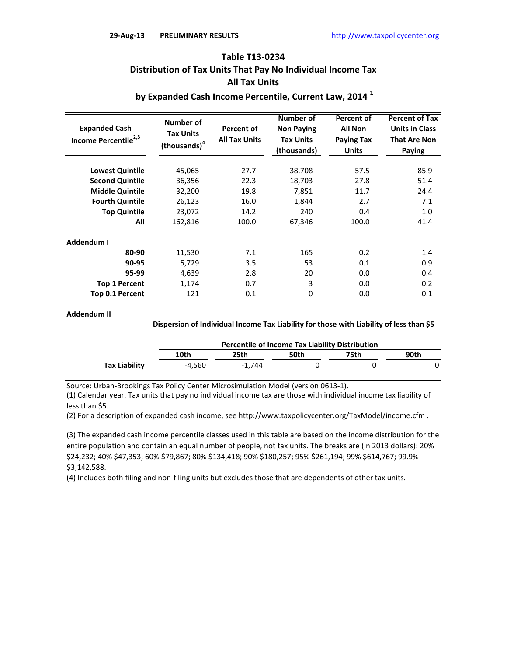# **Table T13-0234 Distribution of Tax Units That Pay No Individual Income Tax All Tax Units**

## **by Expanded Cash Income Percentile, Current Law, 2014 <sup>1</sup>**

| <b>Expanded Cash</b><br>Income Percentile <sup>2,3</sup> | <b>Number of</b><br><b>Tax Units</b><br>(thousands) <sup>4</sup> | <b>Percent of</b><br><b>All Tax Units</b> | <b>Number of</b><br><b>Non Paying</b><br><b>Tax Units</b><br>(thousands) | <b>Percent of</b><br><b>All Non</b><br><b>Paying Tax</b><br><b>Units</b> | <b>Percent of Tax</b><br><b>Units in Class</b><br><b>That Are Non</b><br>Paying |
|----------------------------------------------------------|------------------------------------------------------------------|-------------------------------------------|--------------------------------------------------------------------------|--------------------------------------------------------------------------|---------------------------------------------------------------------------------|
| <b>Lowest Quintile</b>                                   | 45,065                                                           | 27.7                                      | 38,708                                                                   | 57.5                                                                     | 85.9                                                                            |
| <b>Second Quintile</b>                                   | 36,356                                                           | 22.3                                      | 18,703                                                                   | 27.8                                                                     | 51.4                                                                            |
| <b>Middle Quintile</b>                                   | 32,200                                                           | 19.8                                      | 7,851                                                                    | 11.7                                                                     | 24.4                                                                            |
| <b>Fourth Quintile</b>                                   | 26,123                                                           | 16.0                                      | 1,844                                                                    | 2.7                                                                      | 7.1                                                                             |
| <b>Top Quintile</b>                                      | 23,072                                                           | 14.2                                      | 240                                                                      | 0.4                                                                      | 1.0                                                                             |
| All                                                      | 162,816                                                          | 100.0                                     | 67,346                                                                   | 100.0                                                                    | 41.4                                                                            |
| Addendum I                                               |                                                                  |                                           |                                                                          |                                                                          |                                                                                 |
| 80-90                                                    | 11,530                                                           | 7.1                                       | 165                                                                      | 0.2                                                                      | 1.4                                                                             |
| 90-95                                                    | 5,729                                                            | 3.5                                       | 53                                                                       | 0.1                                                                      | 0.9                                                                             |
| 95-99                                                    | 4,639                                                            | 2.8                                       | 20                                                                       | 0.0                                                                      | 0.4                                                                             |
| <b>Top 1 Percent</b>                                     | 1,174                                                            | 0.7                                       | 3                                                                        | 0.0                                                                      | 0.2                                                                             |
| Top 0.1 Percent                                          | 121                                                              | 0.1                                       | 0                                                                        | 0.0                                                                      | 0.1                                                                             |

#### **Addendum II**

### **Dispersion of Individual Income Tax Liability for those with Liability of less than \$5**

|               | <b>Percentile of Income Tax Liability Distribution</b> |        |      |      |      |  |  |
|---------------|--------------------------------------------------------|--------|------|------|------|--|--|
|               | 10th                                                   | 25th   | 50th | 75th | 90th |  |  |
| Tax Liability | -4.560                                                 | -1.744 |      |      |      |  |  |

Source: Urban-Brookings Tax Policy Center Microsimulation Model (version 0613-1).

(1) Calendar year. Tax units that pay no individual income tax are those with individual income tax liability of less than \$5.

(2) For a description of expanded cash income, see http://www.taxpolicycenter.org/TaxModel/income.cfm .

(3) The expanded cash income percentile classes used in this table are based on the income distribution for the entire population and contain an equal number of people, not tax units. The breaks are (in 2013 dollars): 20% \$24,232; 40% \$47,353; 60% \$79,867; 80% \$134,418; 90% \$180,257; 95% \$261,194; 99% \$614,767; 99.9% \$3,142,588.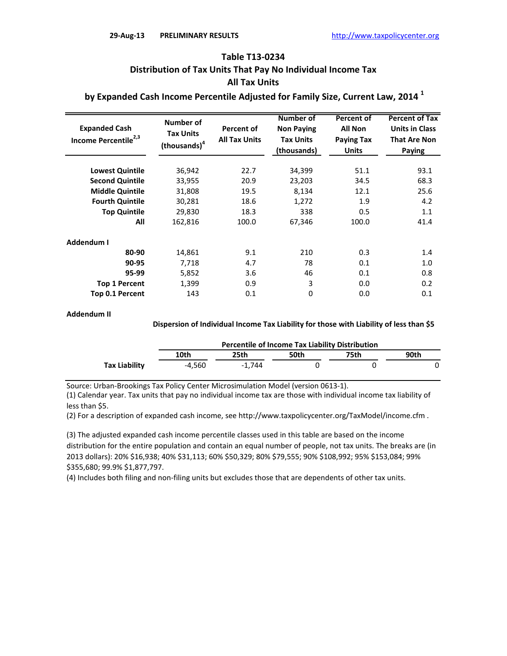## **Table T13-0234 Distribution of Tax Units That Pay No Individual Income Tax All Tax Units**

 **by Expanded Cash Income Percentile Adjusted for Family Size, Current Law, 2014 <sup>1</sup>**

| <b>Expanded Cash</b><br>Income Percentile <sup>2,3</sup> | Number of<br><b>Tax Units</b><br>(thousands) <sup>4</sup> | <b>Percent of</b><br><b>All Tax Units</b> | <b>Number of</b><br><b>Non Paying</b><br><b>Tax Units</b><br>(thousands) | Percent of<br><b>All Non</b><br><b>Paying Tax</b><br><b>Units</b> | <b>Percent of Tax</b><br><b>Units in Class</b><br><b>That Are Non</b><br>Paying |
|----------------------------------------------------------|-----------------------------------------------------------|-------------------------------------------|--------------------------------------------------------------------------|-------------------------------------------------------------------|---------------------------------------------------------------------------------|
| <b>Lowest Quintile</b>                                   | 36,942                                                    | 22.7                                      | 34,399                                                                   | 51.1                                                              | 93.1                                                                            |
|                                                          |                                                           |                                           |                                                                          |                                                                   |                                                                                 |
| <b>Second Quintile</b>                                   | 33,955                                                    | 20.9                                      | 23,203                                                                   | 34.5                                                              | 68.3                                                                            |
| <b>Middle Quintile</b>                                   | 31,808                                                    | 19.5                                      | 8,134                                                                    | 12.1                                                              | 25.6                                                                            |
| <b>Fourth Quintile</b>                                   | 30,281                                                    | 18.6                                      | 1,272                                                                    | 1.9                                                               | 4.2                                                                             |
| <b>Top Quintile</b>                                      | 29,830                                                    | 18.3                                      | 338                                                                      | 0.5                                                               | 1.1                                                                             |
| All                                                      | 162,816                                                   | 100.0                                     | 67,346                                                                   | 100.0                                                             | 41.4                                                                            |
| Addendum I                                               |                                                           |                                           |                                                                          |                                                                   |                                                                                 |
| 80-90                                                    | 14,861                                                    | 9.1                                       | 210                                                                      | 0.3                                                               | 1.4                                                                             |
| 90-95                                                    | 7,718                                                     | 4.7                                       | 78                                                                       | 0.1                                                               | 1.0                                                                             |
| 95-99                                                    | 5,852                                                     | 3.6                                       | 46                                                                       | 0.1                                                               | 0.8                                                                             |
| <b>Top 1 Percent</b>                                     | 1,399                                                     | 0.9                                       | 3                                                                        | 0.0                                                               | 0.2                                                                             |
| <b>Top 0.1 Percent</b>                                   | 143                                                       | 0.1                                       | 0                                                                        | 0.0                                                               | 0.1                                                                             |

#### **Addendum II**

#### **Dispersion of Individual Income Tax Liability for those with Liability of less than \$5**

|                      | <b>Percentile of Income Tax Liability Distribution</b> |          |      |       |      |  |  |
|----------------------|--------------------------------------------------------|----------|------|-------|------|--|--|
|                      | 10th                                                   | 25th     | 50th | 75th. | 90th |  |  |
| <b>Tax Liability</b> | $-4.560$                                               | $-1.744$ |      |       |      |  |  |

Source: Urban-Brookings Tax Policy Center Microsimulation Model (version 0613-1).

(1) Calendar year. Tax units that pay no individual income tax are those with individual income tax liability of less than \$5.

(2) For a description of expanded cash income, see http://www.taxpolicycenter.org/TaxModel/income.cfm .

(3) The adjusted expanded cash income percentile classes used in this table are based on the income distribution for the entire population and contain an equal number of people, not tax units. The breaks are (in 2013 dollars): 20% \$16,938; 40% \$31,113; 60% \$50,329; 80% \$79,555; 90% \$108,992; 95% \$153,084; 99% \$355,680; 99.9% \$1,877,797.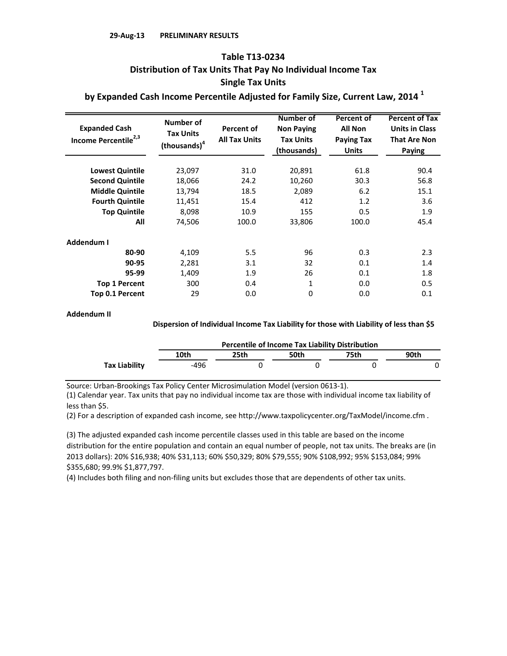## **Single Tax Units Table T13-0234 Distribution of Tax Units That Pay No Individual Income Tax**

 **by Expanded Cash Income Percentile Adjusted for Family Size, Current Law, 2014 <sup>1</sup>**

| <b>Expanded Cash</b><br>Income Percentile <sup>2,3</sup> | Number of<br><b>Tax Units</b><br>(thousands) <sup>4</sup> | Percent of<br><b>All Tax Units</b> | <b>Number of</b><br><b>Non Paying</b><br><b>Tax Units</b><br>(thousands) | Percent of<br><b>All Non</b><br><b>Paying Tax</b><br><b>Units</b> | <b>Percent of Tax</b><br><b>Units in Class</b><br><b>That Are Non</b><br>Paying |
|----------------------------------------------------------|-----------------------------------------------------------|------------------------------------|--------------------------------------------------------------------------|-------------------------------------------------------------------|---------------------------------------------------------------------------------|
| <b>Lowest Quintile</b>                                   | 23,097                                                    | 31.0                               | 20,891                                                                   | 61.8                                                              | 90.4                                                                            |
|                                                          |                                                           |                                    |                                                                          |                                                                   |                                                                                 |
| <b>Second Quintile</b>                                   | 18,066                                                    | 24.2                               | 10,260                                                                   | 30.3                                                              | 56.8                                                                            |
| <b>Middle Quintile</b>                                   | 13,794                                                    | 18.5                               | 2,089                                                                    | 6.2                                                               | 15.1                                                                            |
| <b>Fourth Quintile</b>                                   | 11,451                                                    | 15.4                               | 412                                                                      | 1.2                                                               | 3.6                                                                             |
| <b>Top Quintile</b>                                      | 8,098                                                     | 10.9                               | 155                                                                      | 0.5                                                               | 1.9                                                                             |
| All                                                      | 74,506                                                    | 100.0                              | 33,806                                                                   | 100.0                                                             | 45.4                                                                            |
| Addendum I                                               |                                                           |                                    |                                                                          |                                                                   |                                                                                 |
| 80-90                                                    | 4,109                                                     | 5.5                                | 96                                                                       | 0.3                                                               | 2.3                                                                             |
| 90-95                                                    | 2,281                                                     | 3.1                                | 32                                                                       | 0.1                                                               | 1.4                                                                             |
| 95-99                                                    | 1,409                                                     | 1.9                                | 26                                                                       | 0.1                                                               | 1.8                                                                             |
| <b>Top 1 Percent</b>                                     | 300                                                       | 0.4                                | 1                                                                        | 0.0                                                               | 0.5                                                                             |
| <b>Top 0.1 Percent</b>                                   | 29                                                        | 0.0                                | 0                                                                        | 0.0                                                               | 0.1                                                                             |

#### **Addendum II**

### **Dispersion of Individual Income Tax Liability for those with Liability of less than \$5**

|               | <b>Percentile of Income Tax Liability Distribution</b> |      |      |       |      |  |  |
|---------------|--------------------------------------------------------|------|------|-------|------|--|--|
|               | 10th                                                   | 25th | 50th | 75th. | 90th |  |  |
| Tax Liability | -496                                                   |      |      |       |      |  |  |

Source: Urban-Brookings Tax Policy Center Microsimulation Model (version 0613-1).

(1) Calendar year. Tax units that pay no individual income tax are those with individual income tax liability of less than \$5.

(2) For a description of expanded cash income, see http://www.taxpolicycenter.org/TaxModel/income.cfm .

(3) The adjusted expanded cash income percentile classes used in this table are based on the income distribution for the entire population and contain an equal number of people, not tax units. The breaks are (in 2013 dollars): 20% \$16,938; 40% \$31,113; 60% \$50,329; 80% \$79,555; 90% \$108,992; 95% \$153,084; 99% \$355,680; 99.9% \$1,877,797.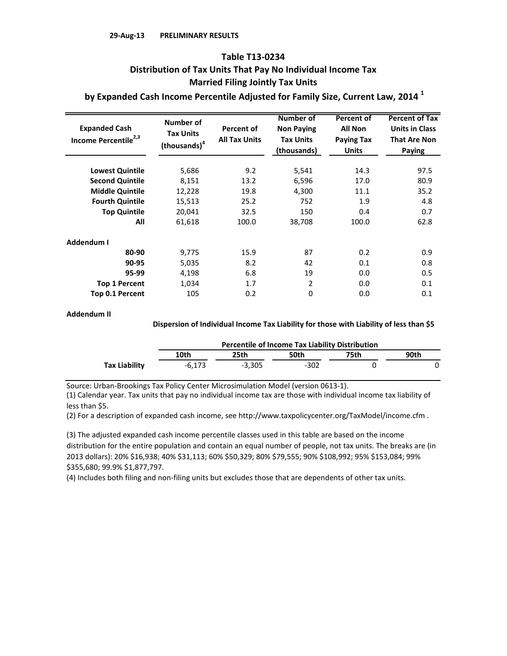## **Married Filing Jointly Tax Units Table T13-0234 Distribution of Tax Units That Pay No Individual Income Tax**

 **by Expanded Cash Income Percentile Adjusted for Family Size, Current Law, 2014 <sup>1</sup>**

| <b>Expanded Cash</b><br>Income Percentile <sup>2,3</sup> | Number of<br><b>Tax Units</b><br>(thousands) <sup>4</sup> | <b>Percent of</b><br><b>All Tax Units</b> | <b>Number of</b><br><b>Non Paving</b><br><b>Tax Units</b><br>(thousands) | Percent of<br><b>All Non</b><br><b>Paying Tax</b><br><b>Units</b> | <b>Percent of Tax</b><br><b>Units in Class</b><br><b>That Are Non</b><br>Paying |
|----------------------------------------------------------|-----------------------------------------------------------|-------------------------------------------|--------------------------------------------------------------------------|-------------------------------------------------------------------|---------------------------------------------------------------------------------|
|                                                          |                                                           |                                           |                                                                          |                                                                   |                                                                                 |
| <b>Lowest Quintile</b>                                   | 5,686                                                     | 9.2                                       | 5,541                                                                    | 14.3                                                              | 97.5                                                                            |
| <b>Second Quintile</b>                                   | 8,151                                                     | 13.2                                      | 6,596                                                                    | 17.0                                                              | 80.9                                                                            |
| <b>Middle Quintile</b>                                   | 12,228                                                    | 19.8                                      | 4,300                                                                    | 11.1                                                              | 35.2                                                                            |
| <b>Fourth Quintile</b>                                   | 15,513                                                    | 25.2                                      | 752                                                                      | 1.9                                                               | 4.8                                                                             |
| <b>Top Quintile</b>                                      | 20,041                                                    | 32.5                                      | 150                                                                      | 0.4                                                               | 0.7                                                                             |
| All                                                      | 61,618                                                    | 100.0                                     | 38,708                                                                   | 100.0                                                             | 62.8                                                                            |
| Addendum I                                               |                                                           |                                           |                                                                          |                                                                   |                                                                                 |
| 80-90                                                    | 9,775                                                     | 15.9                                      | 87                                                                       | 0.2                                                               | 0.9                                                                             |
| 90-95                                                    | 5,035                                                     | 8.2                                       | 42                                                                       | 0.1                                                               | 0.8                                                                             |
| 95-99                                                    | 4,198                                                     | 6.8                                       | 19                                                                       | 0.0                                                               | 0.5                                                                             |
| <b>Top 1 Percent</b>                                     | 1,034                                                     | 1.7                                       | 2                                                                        | 0.0                                                               | 0.1                                                                             |
| Top 0.1 Percent                                          | 105                                                       | 0.2                                       | 0                                                                        | 0.0                                                               | 0.1                                                                             |

### **Addendum II**

### **Dispersion of Individual Income Tax Liability for those with Liability of less than \$5**

|                      | <b>Percentile of Income Tax Liability Distribution</b> |          |        |      |      |  |  |
|----------------------|--------------------------------------------------------|----------|--------|------|------|--|--|
|                      | 10th                                                   | 25th     | 50th   | 75th | 90th |  |  |
| <b>Tax Liability</b> | -6.173                                                 | $-3.305$ | $-302$ |      |      |  |  |

Source: Urban-Brookings Tax Policy Center Microsimulation Model (version 0613-1).

(1) Calendar year. Tax units that pay no individual income tax are those with individual income tax liability of less than \$5.

(2) For a description of expanded cash income, see http://www.taxpolicycenter.org/TaxModel/income.cfm .

(3) The adjusted expanded cash income percentile classes used in this table are based on the income distribution for the entire population and contain an equal number of people, not tax units. The breaks are (in 2013 dollars): 20% \$16,938; 40% \$31,113; 60% \$50,329; 80% \$79,555; 90% \$108,992; 95% \$153,084; 99% \$355,680; 99.9% \$1,877,797.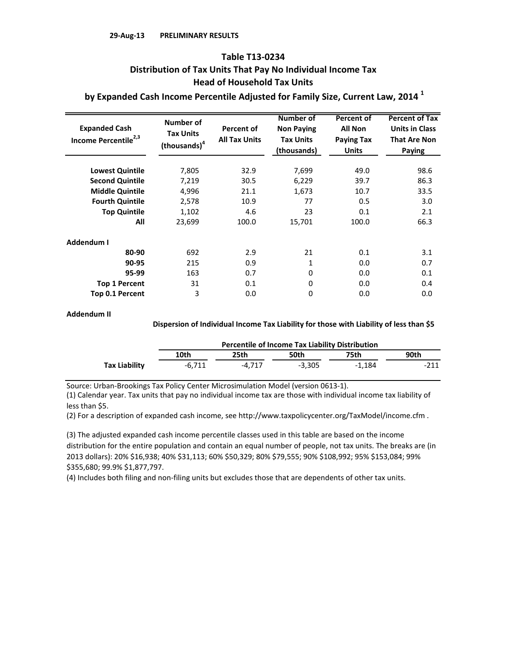## **Head of Household Tax Units Table T13-0234 Distribution of Tax Units That Pay No Individual Income Tax**

 **by Expanded Cash Income Percentile Adjusted for Family Size, Current Law, 2014 <sup>1</sup>**

| <b>Expanded Cash</b><br>Income Percentile <sup>2,3</sup> | Number of<br><b>Tax Units</b><br>(thousands) <sup>4</sup> | <b>Percent of</b><br><b>All Tax Units</b> | <b>Number of</b><br><b>Non Paving</b><br><b>Tax Units</b><br>(thousands) | <b>Percent of</b><br><b>All Non</b><br><b>Paying Tax</b><br><b>Units</b> | <b>Percent of Tax</b><br><b>Units in Class</b><br><b>That Are Non</b><br>Paying |
|----------------------------------------------------------|-----------------------------------------------------------|-------------------------------------------|--------------------------------------------------------------------------|--------------------------------------------------------------------------|---------------------------------------------------------------------------------|
| <b>Lowest Quintile</b>                                   | 7,805                                                     | 32.9                                      | 7,699                                                                    | 49.0                                                                     | 98.6                                                                            |
|                                                          |                                                           |                                           |                                                                          |                                                                          |                                                                                 |
| <b>Second Quintile</b>                                   | 7,219                                                     | 30.5                                      | 6,229                                                                    | 39.7                                                                     | 86.3                                                                            |
| <b>Middle Quintile</b>                                   | 4,996                                                     | 21.1                                      | 1,673                                                                    | 10.7                                                                     | 33.5                                                                            |
| <b>Fourth Quintile</b>                                   | 2,578                                                     | 10.9                                      | 77                                                                       | 0.5                                                                      | 3.0                                                                             |
| <b>Top Quintile</b>                                      | 1,102                                                     | 4.6                                       | 23                                                                       | 0.1                                                                      | 2.1                                                                             |
| All                                                      | 23,699                                                    | 100.0                                     | 15,701                                                                   | 100.0                                                                    | 66.3                                                                            |
| Addendum I                                               |                                                           |                                           |                                                                          |                                                                          |                                                                                 |
| 80-90                                                    | 692                                                       | 2.9                                       | 21                                                                       | 0.1                                                                      | 3.1                                                                             |
| 90-95                                                    | 215                                                       | 0.9                                       | 1                                                                        | 0.0                                                                      | 0.7                                                                             |
| 95-99                                                    | 163                                                       | 0.7                                       | 0                                                                        | 0.0                                                                      | 0.1                                                                             |
| <b>Top 1 Percent</b>                                     | 31                                                        | 0.1                                       | 0                                                                        | 0.0                                                                      | 0.4                                                                             |
| <b>Top 0.1 Percent</b>                                   | 3                                                         | 0.0                                       | 0                                                                        | 0.0                                                                      | 0.0                                                                             |

### **Addendum II**

### **Dispersion of Individual Income Tax Liability for those with Liability of less than \$5**

|               | <b>Percentile of Income Tax Liability Distribution</b> |        |          |        |        |  |  |
|---------------|--------------------------------------------------------|--------|----------|--------|--------|--|--|
|               | 10th                                                   | 25th   | 50th     | 75th   | 90th   |  |  |
| Tax Liability | $-6.711$                                               | -4.717 | $-3.305$ | -1.184 | $-211$ |  |  |

Source: Urban-Brookings Tax Policy Center Microsimulation Model (version 0613-1).

(1) Calendar year. Tax units that pay no individual income tax are those with individual income tax liability of less than \$5.

(2) For a description of expanded cash income, see http://www.taxpolicycenter.org/TaxModel/income.cfm .

(3) The adjusted expanded cash income percentile classes used in this table are based on the income distribution for the entire population and contain an equal number of people, not tax units. The breaks are (in 2013 dollars): 20% \$16,938; 40% \$31,113; 60% \$50,329; 80% \$79,555; 90% \$108,992; 95% \$153,084; 99% \$355,680; 99.9% \$1,877,797.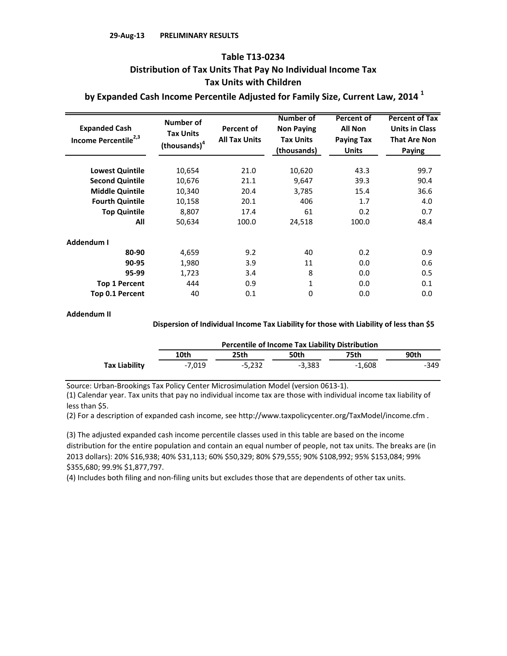## **Tax Units with Children Table T13-0234 Distribution of Tax Units That Pay No Individual Income Tax**

 **by Expanded Cash Income Percentile Adjusted for Family Size, Current Law, 2014 <sup>1</sup>**

| <b>Expanded Cash</b><br>Income Percentile <sup>2,3</sup> | Number of<br><b>Tax Units</b><br>(thousands) <sup>4</sup> | <b>Percent of</b><br><b>All Tax Units</b> | <b>Number of</b><br><b>Non Paying</b><br><b>Tax Units</b><br>(thousands) | Percent of<br><b>All Non</b><br><b>Paying Tax</b><br><b>Units</b> | <b>Percent of Tax</b><br><b>Units in Class</b><br><b>That Are Non</b><br>Paying |
|----------------------------------------------------------|-----------------------------------------------------------|-------------------------------------------|--------------------------------------------------------------------------|-------------------------------------------------------------------|---------------------------------------------------------------------------------|
| <b>Lowest Quintile</b>                                   | 10,654                                                    | 21.0                                      | 10,620                                                                   | 43.3                                                              | 99.7                                                                            |
| <b>Second Quintile</b>                                   | 10,676                                                    | 21.1                                      | 9,647                                                                    | 39.3                                                              | 90.4                                                                            |
| <b>Middle Quintile</b>                                   | 10,340                                                    | 20.4                                      | 3,785                                                                    | 15.4                                                              | 36.6                                                                            |
| <b>Fourth Quintile</b>                                   | 10,158                                                    | 20.1                                      | 406                                                                      | 1.7                                                               | 4.0                                                                             |
| <b>Top Quintile</b>                                      | 8,807                                                     | 17.4                                      | 61                                                                       | 0.2                                                               | 0.7                                                                             |
| All                                                      | 50,634                                                    | 100.0                                     | 24,518                                                                   | 100.0                                                             | 48.4                                                                            |
| Addendum I                                               |                                                           |                                           |                                                                          |                                                                   |                                                                                 |
| 80-90                                                    | 4,659                                                     | 9.2                                       | 40                                                                       | 0.2                                                               | 0.9                                                                             |
| 90-95                                                    | 1,980                                                     | 3.9                                       | 11                                                                       | 0.0                                                               | 0.6                                                                             |
| 95-99                                                    | 1,723                                                     | 3.4                                       | 8                                                                        | 0.0                                                               | 0.5                                                                             |
| <b>Top 1 Percent</b>                                     | 444                                                       | 0.9                                       | 1                                                                        | 0.0                                                               | 0.1                                                                             |
| Top 0.1 Percent                                          | 40                                                        | 0.1                                       | 0                                                                        | 0.0                                                               | 0.0                                                                             |

### **Addendum II**

### **Dispersion of Individual Income Tax Liability for those with Liability of less than \$5**

|               | <b>Percentile of Income Tax Liability Distribution</b> |          |          |        |      |  |  |
|---------------|--------------------------------------------------------|----------|----------|--------|------|--|--|
|               | 10th                                                   | 25th     | 50th     | 75th   | 90th |  |  |
| Tax Liability | $-7.019$                                               | $-5.232$ | $-3.383$ | -1.608 | -349 |  |  |

Source: Urban-Brookings Tax Policy Center Microsimulation Model (version 0613-1).

(1) Calendar year. Tax units that pay no individual income tax are those with individual income tax liability of less than \$5.

(2) For a description of expanded cash income, see http://www.taxpolicycenter.org/TaxModel/income.cfm .

(3) The adjusted expanded cash income percentile classes used in this table are based on the income distribution for the entire population and contain an equal number of people, not tax units. The breaks are (in 2013 dollars): 20% \$16,938; 40% \$31,113; 60% \$50,329; 80% \$79,555; 90% \$108,992; 95% \$153,084; 99% \$355,680; 99.9% \$1,877,797.